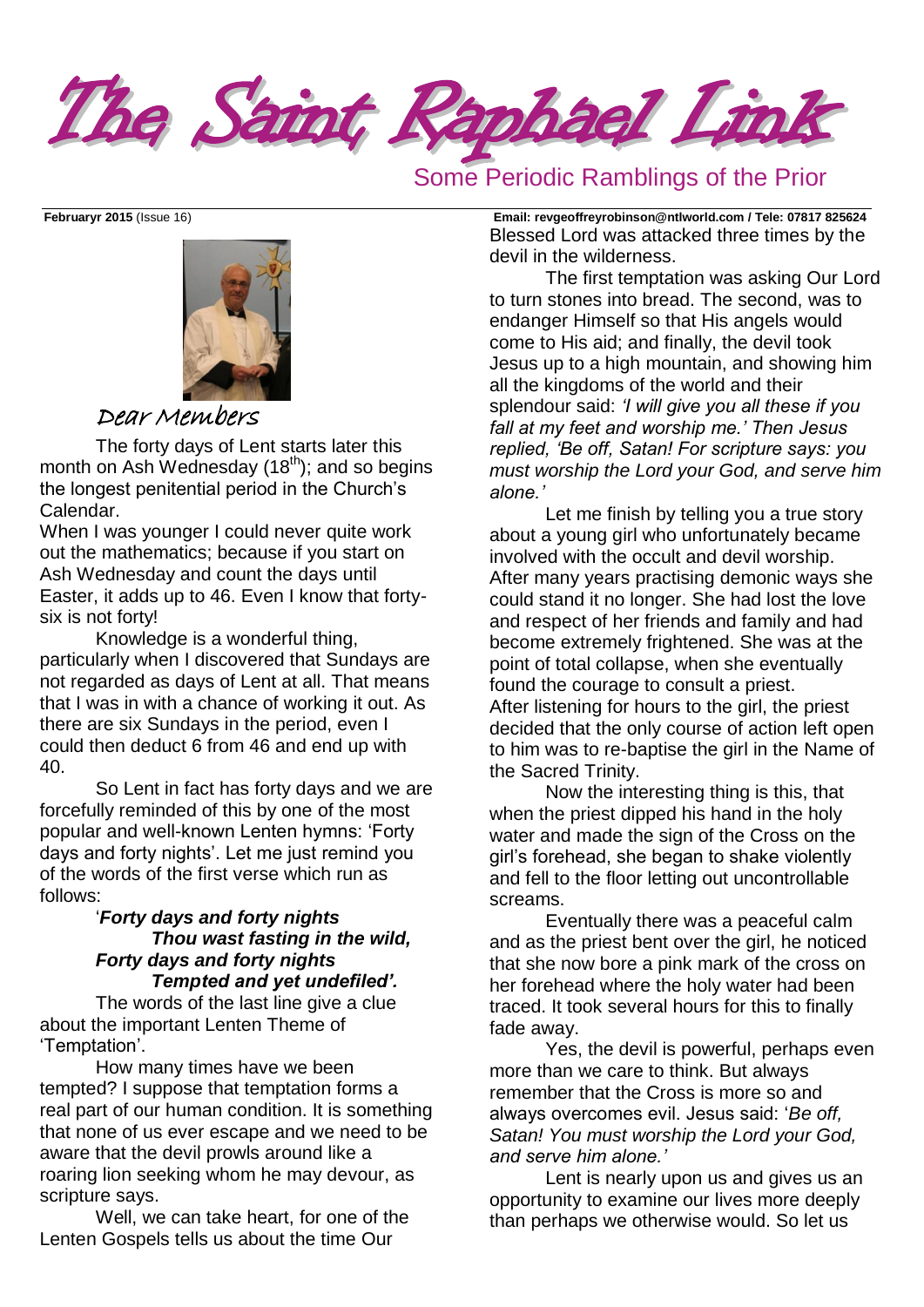The Saint Raphael Link

## Some Periodic Ramblings of the Prior



## Dear Members

The forty days of Lent starts later this month on Ash Wednesday  $(18<sup>th</sup>)$ ; and so begins the longest penitential period in the Church's Calendar.

When I was younger I could never quite work out the mathematics; because if you start on Ash Wednesday and count the days until Easter, it adds up to 46. Even I know that fortysix is not forty!

Knowledge is a wonderful thing, particularly when I discovered that Sundays are not regarded as days of Lent at all. That means that I was in with a chance of working it out. As there are six Sundays in the period, even I could then deduct 6 from 46 and end up with 40.

So Lent in fact has forty days and we are forcefully reminded of this by one of the most popular and well-known Lenten hymns: 'Forty days and forty nights'. Let me just remind you of the words of the first verse which run as follows:

#### '*Forty days and forty nights Thou wast fasting in the wild, Forty days and forty nights Tempted and yet undefiled'.*

The words of the last line give a clue about the important Lenten Theme of 'Temptation'.

How many times have we been tempted? I suppose that temptation forms a real part of our human condition. It is something that none of us ever escape and we need to be aware that the devil prowls around like a roaring lion seeking whom he may devour, as scripture says.

Well, we can take heart, for one of the Lenten Gospels tells us about the time Our

**Februaryr 2015** (Issue 16) **Email: [revgeoffreyrobinson@ntlworld.com](mailto:revgeoffreyrobinson@ntlworld.com) / Tele: 07817 825624** Blessed Lord was attacked three times by the devil in the wilderness.

> The first temptation was asking Our Lord to turn stones into bread. The second, was to endanger Himself so that His angels would come to His aid; and finally, the devil took Jesus up to a high mountain, and showing him all the kingdoms of the world and their splendour said: *'I will give you all these if you fall at my feet and worship me.' Then Jesus replied, 'Be off, Satan! For scripture says: you must worship the Lord your God, and serve him alone.'*

Let me finish by telling you a true story about a young girl who unfortunately became involved with the occult and devil worship. After many years practising demonic ways she could stand it no longer. She had lost the love and respect of her friends and family and had become extremely frightened. She was at the point of total collapse, when she eventually found the courage to consult a priest. After listening for hours to the girl, the priest decided that the only course of action left open to him was to re-baptise the girl in the Name of the Sacred Trinity.

Now the interesting thing is this, that when the priest dipped his hand in the holy water and made the sign of the Cross on the girl's forehead, she began to shake violently and fell to the floor letting out uncontrollable screams.

Eventually there was a peaceful calm and as the priest bent over the girl, he noticed that she now bore a pink mark of the cross on her forehead where the holy water had been traced. It took several hours for this to finally fade away.

Yes, the devil is powerful, perhaps even more than we care to think. But always remember that the Cross is more so and always overcomes evil. Jesus said: '*Be off, Satan! You must worship the Lord your God, and serve him alone.'*

Lent is nearly upon us and gives us an opportunity to examine our lives more deeply than perhaps we otherwise would. So let us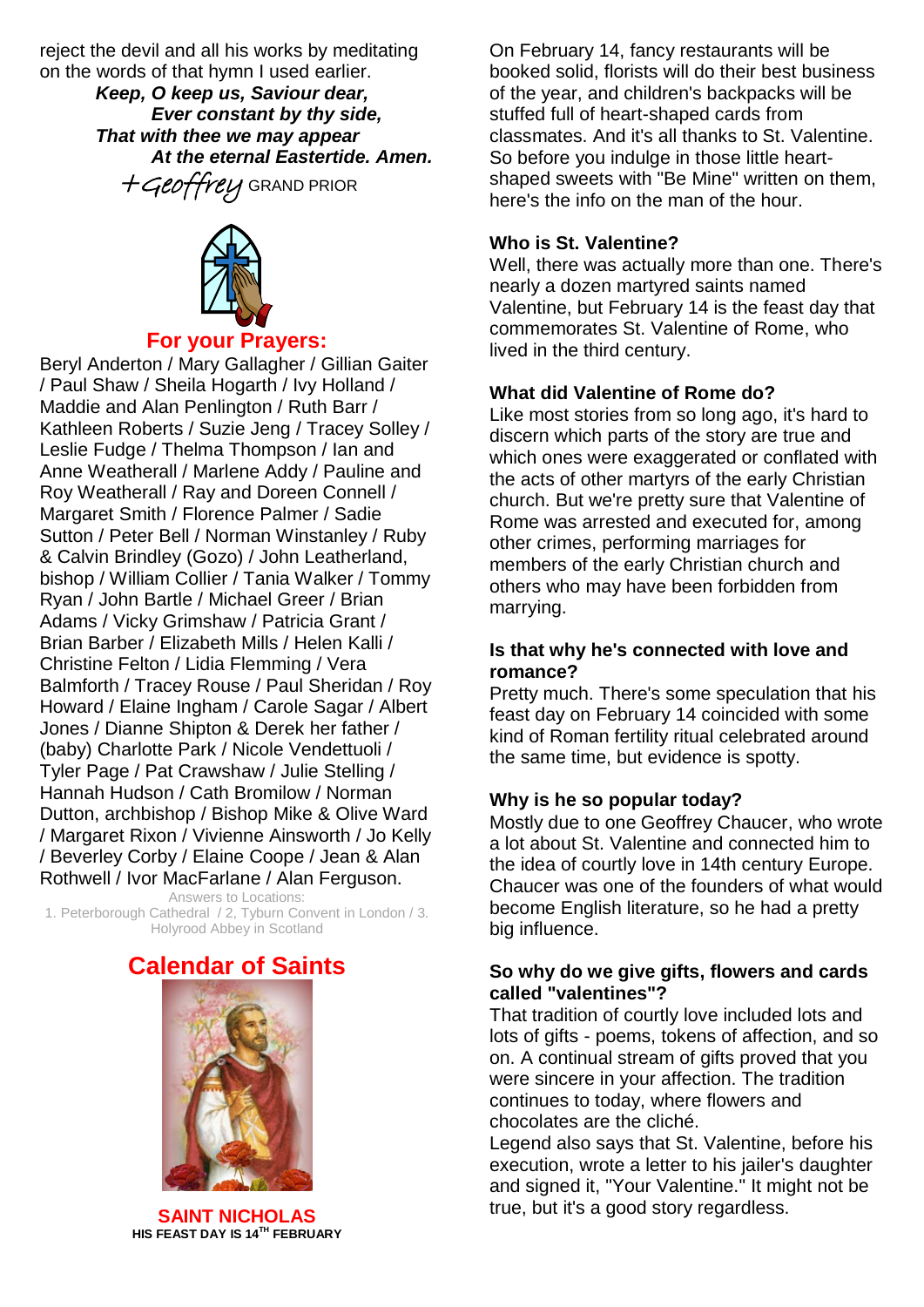reject the devil and all his works by meditating on the words of that hymn I used earlier.

*Keep, O keep us, Saviour dear, Ever constant by thy side, That with thee we may appear At the eternal Eastertide. Amen.*  $+Geof$  Fre $U$  GRAND PRIOR



#### **For your Prayers:**

Beryl Anderton / Mary Gallagher / Gillian Gaiter / Paul Shaw / Sheila Hogarth / Ivy Holland / Maddie and Alan Penlington / Ruth Barr / Kathleen Roberts / Suzie Jeng / Tracey Solley / Leslie Fudge / Thelma Thompson / Ian and Anne Weatherall / Marlene Addy / Pauline and Roy Weatherall / Ray and Doreen Connell / Margaret Smith / Florence Palmer / Sadie Sutton / Peter Bell / Norman Winstanley / Ruby & Calvin Brindley (Gozo) / John Leatherland, bishop / William Collier / Tania Walker / Tommy Ryan / John Bartle / Michael Greer / Brian Adams / Vicky Grimshaw / Patricia Grant / Brian Barber / Elizabeth Mills / Helen Kalli / Christine Felton / Lidia Flemming / Vera Balmforth / Tracey Rouse / Paul Sheridan / Roy Howard / Elaine Ingham / Carole Sagar / Albert Jones / Dianne Shipton & Derek her father / (baby) Charlotte Park / Nicole Vendettuoli / Tyler Page / Pat Crawshaw / Julie Stelling / Hannah Hudson / Cath Bromilow / Norman Dutton, archbishop / Bishop Mike & Olive Ward / Margaret Rixon / Vivienne Ainsworth / Jo Kelly / Beverley Corby / Elaine Coope / Jean & Alan Rothwell / Ivor MacFarlane / Alan Ferguson.

Answers to Locations: 1. Peterborough Cathedral / 2, Tyburn Convent in London / 3. Holyrood Abbey in Scotland

## **Calendar of Saints**



**SAINT NICHOLAS HIS [FEAST DAY](http://www.catholic.org/saints/f_day/) IS 14TH FEBRUARY**

On February 14, fancy restaurants will be booked solid, florists will do their best business of the year, and children's backpacks will be stuffed full of heart-shaped cards from classmates. And it's all thanks to [St. Valentine.](http://topics.pennlive.com/tag/valentine) So before you indulge in those little heartshaped sweets with "Be Mine" written on them, here's the info on the man of the hour.

#### **Who is St. Valentine?**

Well, there was actually more than one. There's nearly a dozen martyred saints named Valentine, but February 14 is the feast day that commemorates [St. Valentine of Rome,](http://www.catholic.org/saints/saint.php?saint_id=159) who lived in the third century.

#### **What did Valentine of Rome do?**

Like most stories from so long ago, it's hard to discern which parts of the story are true and which ones were exaggerated or conflated with the acts of other martyrs of the early Christian church. But we're pretty sure that Valentine of Rome was arrested and executed for, among other crimes, performing marriages for members of the early Christian church and others who may have been forbidden from marrying.

#### **Is that why he's connected with love and romance?**

Pretty much. There's some speculation that his feast day on February 14 coincided with some kind of Roman fertility ritual celebrated around the same time, but evidence is spotty.

#### **Why is he so popular today?**

Mostly due to one [Geoffrey Chaucer,](http://www.biography.com/people/geoffrey-chaucer-9245691) who wrote a lot about St. Valentine and connected him to the idea of courtly love in 14th century Europe. Chaucer was one of the founders of what would become English literature, so he had a pretty big influence.

#### **So why do we give gifts, flowers and cards called "valentines"?**

That tradition of courtly love included lots and lots of gifts - poems, tokens of affection, and so on. A continual stream of gifts proved that you were sincere in your affection. The tradition continues to today, where flowers and chocolates are the cliché.

Legend also says that St. Valentine, before his execution, wrote a letter to his jailer's daughter and signed it, "Your Valentine." It might not be true, but it's a good story regardless.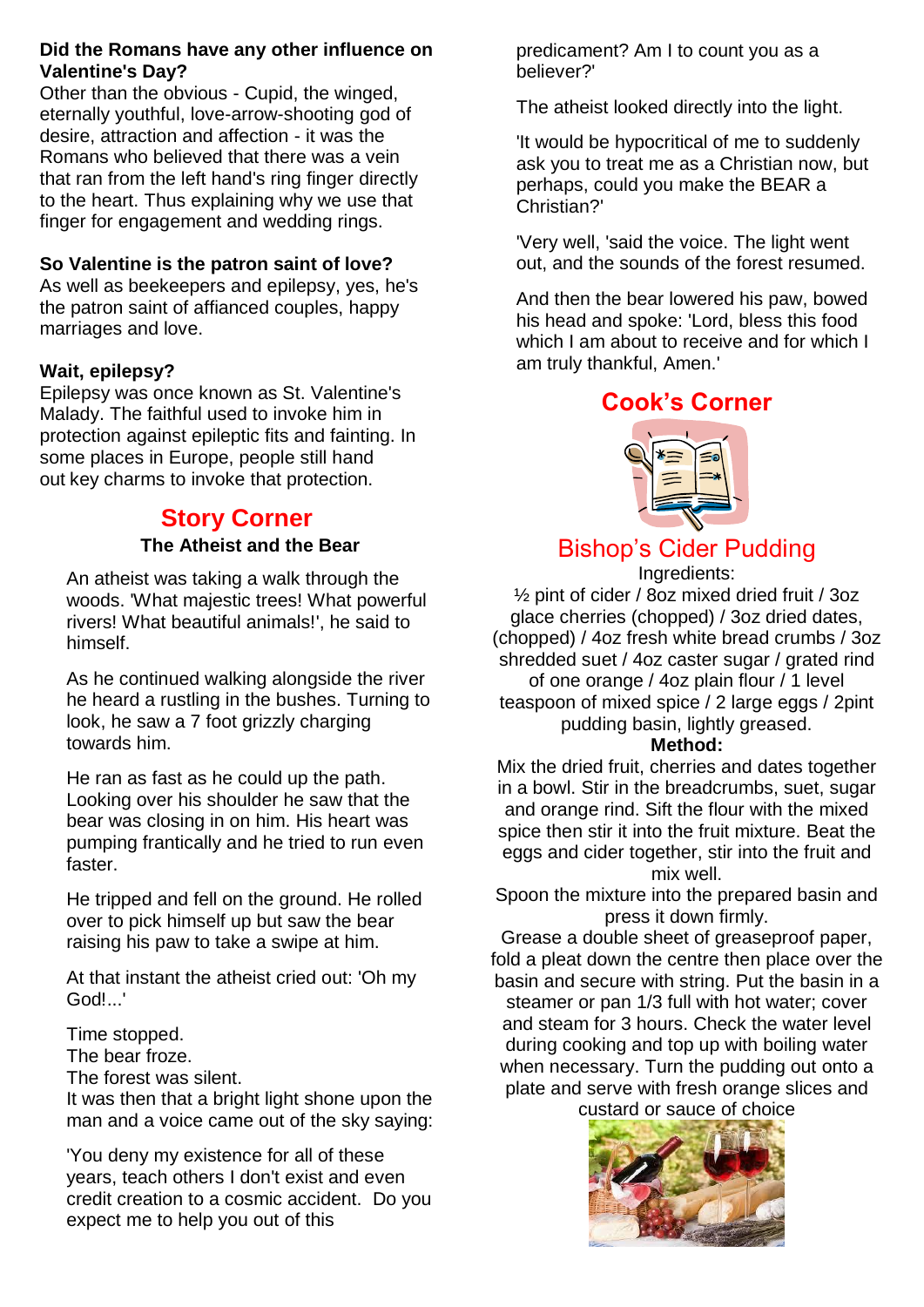#### **Did the Romans have any other influence on Valentine's Day?**

Other than the obvious - Cupid, the winged, eternally youthful, love-arrow-shooting god of desire, attraction and affection - it was the Romans who believed that there was a vein that ran from the left hand's ring finger directly to the heart. Thus explaining why we use that finger for engagement and wedding rings.

### **So Valentine is the patron saint of love?**

As well as beekeepers and epilepsy, yes, he's the patron saint of affianced couples, happy marriages and love.

## **Wait, epilepsy?**

Epilepsy was once known as St. Valentine's Malady. The faithful used to invoke him in protection against epileptic fits and fainting. In some places in Europe, people still hand out [key charms](http://en.wikipedia.org/wiki/Saint_Valentine%27s_Key) to invoke that protection.

## **Story Corner The Atheist and the Bear**

An atheist was taking a walk through the woods. 'What majestic trees! What powerful rivers! What beautiful animals!', he said to himself.

As he continued walking alongside the river he heard a rustling in the bushes. Turning to look, he saw a 7 foot grizzly charging towards him.

He ran as fast as he could up the path. Looking over his shoulder he saw that the bear was closing in on him. His heart was pumping frantically and he tried to run even faster.

He tripped and fell on the ground. He rolled over to pick himself up but saw the bear raising his paw to take a swipe at him.

At that instant the atheist cried out: 'Oh my God!...'

Time stopped.

The bear froze.

The forest was silent.

It was then that a bright light shone upon the man and a voice came out of the sky saying:

'You deny my existence for all of these years, teach others I don't exist and even credit creation to a cosmic accident. Do you expect me to help you out of this

predicament? Am I to count you as a believer?'

The atheist looked directly into the light.

'It would be hypocritical of me to suddenly ask you to treat me as a Christian now, but perhaps, could you make the BEAR a Christian?'

'Very well, 'said the voice. The light went out, and the sounds of the forest resumed.

And then the bear lowered his paw, bowed his head and spoke: 'Lord, bless this food which I am about to receive and for which I am truly thankful, Amen.'

# **Cook's Corner**



# Bishop's Cider Pudding

Ingredients:

½ pint of cider / 8oz mixed dried fruit / 3oz glace cherries (chopped) / 3oz dried dates, (chopped) / 4oz fresh white bread crumbs / 3oz shredded suet / 4oz caster sugar / grated rind of one orange / 4oz plain flour / 1 level teaspoon of mixed spice / 2 large eggs / 2pint pudding basin, lightly greased.

### **Method:**

Mix the dried fruit, cherries and dates together in a bowl. Stir in the breadcrumbs, suet, sugar and orange rind. Sift the flour with the mixed spice then stir it into the fruit mixture. Beat the eggs and cider together, stir into the fruit and mix well.

Spoon the mixture into the prepared basin and press it down firmly.

Grease a double sheet of greaseproof paper, fold a pleat down the centre then place over the basin and secure with string. Put the basin in a steamer or pan 1/3 full with hot water; cover and steam for 3 hours. Check the water level during cooking and top up with boiling water when necessary. Turn the pudding out onto a plate and serve with fresh orange slices and custard or sauce of choice